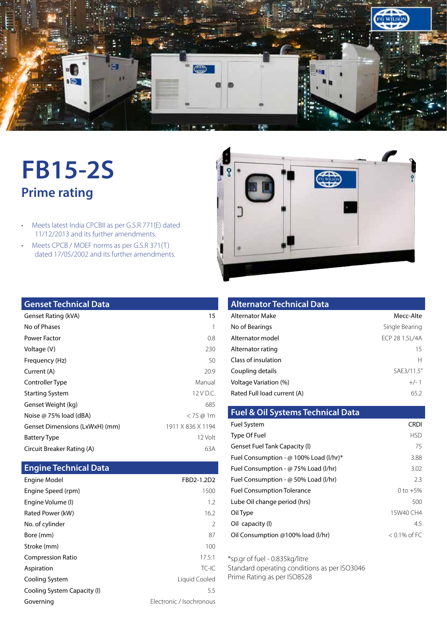

# **FB15-2S Prime rating**

- Meets latest India CPCBII as per G.S.R 771(E) dated 11/12/2013 and its further amendments.
- Meets CPCB / MOEF norms as per G.S.R 371(T) dated 17/05/2002 and its further amendments.



## **Genset Technical Data**

| Genset Rating (kVA)            | 15                |
|--------------------------------|-------------------|
| No of Phases                   | 1                 |
| Power Factor                   | 0.8               |
| Voltage (V)                    | 230               |
| Frequency (Hz)                 | 50                |
| Current (A)                    | 20.9              |
| Controller Type                | Manual            |
| <b>Starting System</b>         | 12 V D.C.         |
| Genset Weight (kg)             | 685               |
| Noise @ 75% load (dBA)         | $<$ 75 @ 1m       |
| Genset Dimensions (LxWxH) (mm) | 1911 X 836 X 1194 |
| <b>Battery Type</b>            | 12 Volt           |
| Circuit Breaker Rating (A)     | 63A               |

### **Engine Technical Data**

| Engine Model                | FBD2-1.2D2               |
|-----------------------------|--------------------------|
| Engine Speed (rpm)          | 1500                     |
| Engine Volume (I)           | 1.2                      |
| Rated Power (kW)            | 16.2                     |
| No. of cylinder             | $\mathcal{P}$            |
| Bore (mm)                   | 87                       |
| Stroke (mm)                 | 100                      |
| <b>Compression Ratio</b>    | 17.5:1                   |
| Aspiration                  | $TC-IC$                  |
| Cooling System              | Liquid Cooled            |
| Cooling System Capacity (I) | 5.5                      |
| Governing                   | Flectronic / Isochronous |

| <b>Alternator Technical Data</b> |                |
|----------------------------------|----------------|
| Alternator Make                  | Mecc-Alte      |
| No of Bearings                   | Single Bearing |
| Alternator model                 | FCP 28 1.51/4A |
| Alternator rating                | 15             |
| Class of insulation              | $\mathsf{H}$   |
| Coupling details                 | SAE3/11.5"     |
| Voltage Variation (%)            | $+/-1$         |
| Rated Full load current (A)      | 65.2           |

| <b>Fuel &amp; Oil Systems Technical Data</b> |                 |
|----------------------------------------------|-----------------|
| <b>Fuel System</b>                           | CRDI            |
| Type Of Fuel                                 | <b>HSD</b>      |
| Genset Fuel Tank Capacity (I)                | 75              |
| Fuel Consumption - @ 100% Load (I/hr)*       | 3.88            |
| Fuel Consumption - @ 75% Load (I/hr)         | 3.02            |
| Fuel Consumption - $\omega$ 50% Load (I/hr)  | 2.3             |
| <b>Fuel Consumption Tolerance</b>            | 0 to $+5%$      |
| Lube Oil change period (hrs)                 | 500             |
| Oil Type                                     | 15W40 CH4       |
| Oil capacity (I)                             | 4.5             |
| Oil Consumption @100% load (I/hr)            | $< 0.1\%$ of FC |
|                                              |                 |

\*sp.gr of fuel - 0.835kg/litre

Standard operating conditions as per ISO3046 Prime Rating as per ISO8528